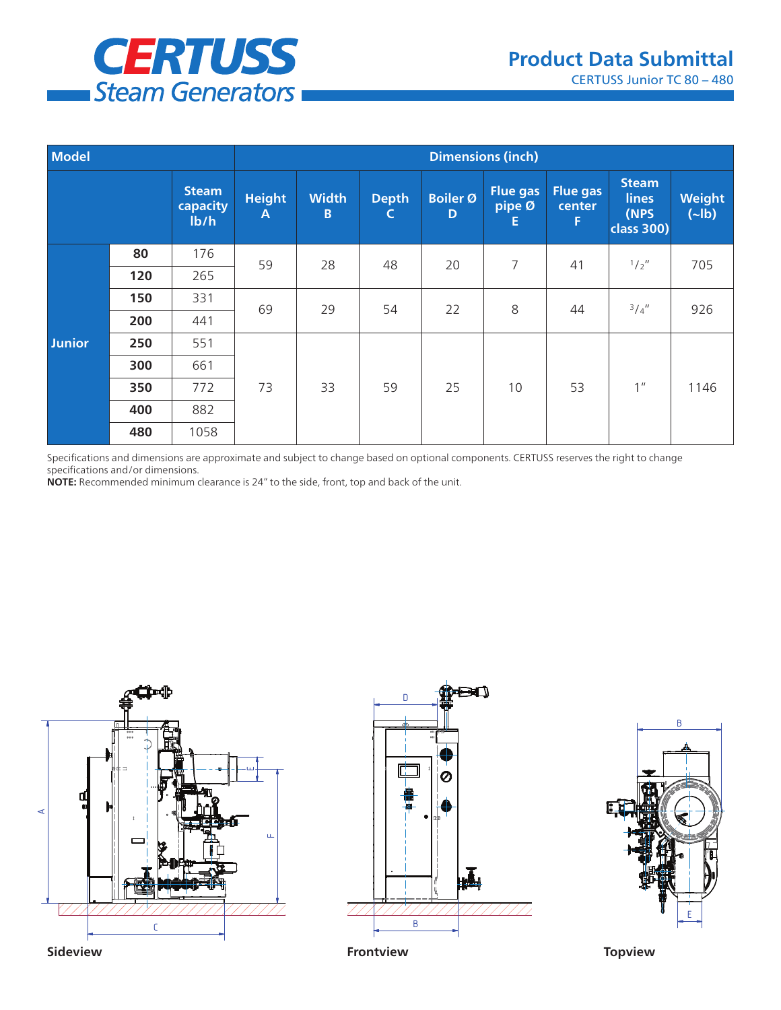

| <b>Model</b>  |     |                                  | <b>Dimensions (inch)</b> |                   |                              |                      |                                        |                                |                                                           |                          |  |
|---------------|-----|----------------------------------|--------------------------|-------------------|------------------------------|----------------------|----------------------------------------|--------------------------------|-----------------------------------------------------------|--------------------------|--|
|               |     | <b>Steam</b><br>capacity<br>Ib/h | <b>Height</b><br>A       | <b>Width</b><br>B | <b>Depth</b><br>$\mathsf{C}$ | <b>Boiler Ø</b><br>D | <b>Flue gas</b><br>$ $ pipe Ø $ $<br>Е | <b>Flue gas</b><br>center<br>F | <b>Steam</b><br><b>lines</b><br>(NPS<br><b>class 300)</b> | Weight<br>$(\text{-lb})$ |  |
| <b>Junior</b> | 80  | 176                              | 59                       | 28                | 48                           | 20                   | 7                                      | 41                             | 1/2''                                                     | 705                      |  |
|               | 120 | 265                              |                          |                   |                              |                      |                                        |                                |                                                           |                          |  |
|               | 150 | 331                              | 69                       | 29                | 54                           | 22                   | 8                                      | 44                             | 3/4''                                                     | 926                      |  |
|               | 200 | 441                              |                          |                   |                              |                      |                                        |                                |                                                           |                          |  |
|               | 250 | 551                              | 73                       | 33                | 59                           | 25                   | 10                                     | 53                             | 1 <sup>''</sup>                                           | 1146                     |  |
|               | 300 | 661                              |                          |                   |                              |                      |                                        |                                |                                                           |                          |  |
|               | 350 | 772                              |                          |                   |                              |                      |                                        |                                |                                                           |                          |  |
|               | 400 | 882                              |                          |                   |                              |                      |                                        |                                |                                                           |                          |  |
|               | 480 | 1058                             |                          |                   |                              |                      |                                        |                                |                                                           |                          |  |

Specifications and dimensions are approximate and subject to change based on optional components. CERTUSS reserves the right to change specifications and/or dimensions.

**NOTE:** Recommended minimum clearance is 24" to the side, front, top and back of the unit.